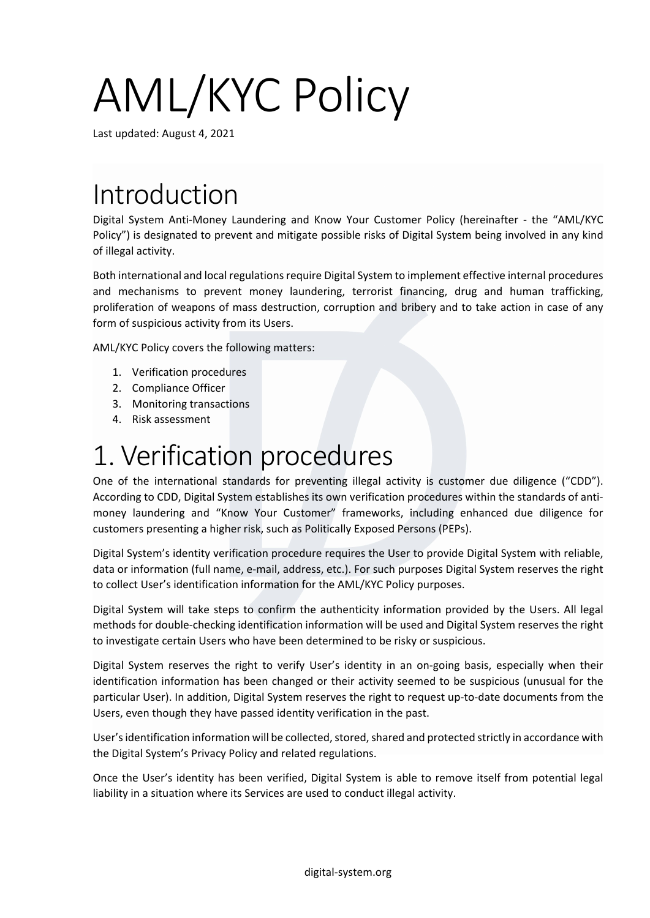# AML/KYC Policy

Last updated: August 4, 2021

## Introduction

Digital System Anti-Money Laundering and Know Your Customer Policy (hereinafter - the "AML/KYC Policy") is designated to prevent and mitigate possible risks of Digital System being involved in any kind of illegal activity.

Both international and local regulations require Digital System to implement effective internal procedures and mechanisms to prevent money laundering, terrorist financing, drug and human trafficking, proliferation of weapons of mass destruction, corruption and bribery and to take action in case of any form of suspicious activity from its Users.

AML/KYC Policy covers the following matters:

- 1. Verification procedures
- 2. Compliance Officer
- 3. Monitoring transactions
- 4. Risk assessment

#### 1. Verification procedures

One of the international standards for preventing illegal activity is customer due diligence ("CDD"). According to CDD, Digital System establishes its own verification procedures within the standards of antimoney laundering and "Know Your Customer" frameworks, including enhanced due diligence for customers presenting a higher risk, such as Politically Exposed Persons (PEPs).

Digital System's identity verification procedure requires the User to provide Digital System with reliable, data or information (full name, e-mail, address, etc.). For such purposes Digital System reserves the right to collect User's identification information for the AML/KYC Policy purposes.

Digital System will take steps to confirm the authenticity information provided by the Users. All legal methods for double-checking identification information will be used and Digital System reserves the right to investigate certain Users who have been determined to be risky or suspicious.

Digital System reserves the right to verify User's identity in an on-going basis, especially when their identification information has been changed or their activity seemed to be suspicious (unusual for the particular User). In addition, Digital System reserves the right to request up-to-date documents from the Users, even though they have passed identity verification in the past.

User's identification information will be collected, stored, shared and protected strictly in accordance with the Digital System's Privacy Policy and related regulations.

Once the User's identity has been verified, Digital System is able to remove itself from potential legal liability in a situation where its Services are used to conduct illegal activity.